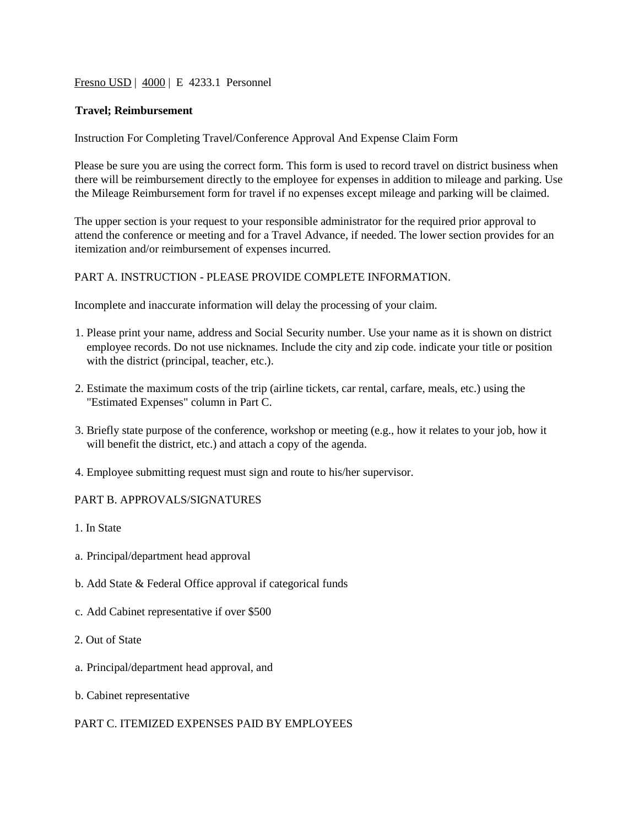#### Fresno USD | 4000 | E 4233.1 Personnel

#### **Travel; Reimbursement**

Instruction For Completing Travel/Conference Approval And Expense Claim Form

Please be sure you are using the correct form. This form is used to record travel on district business when there will be reimbursement directly to the employee for expenses in addition to mileage and parking. Use the Mileage Reimbursement form for travel if no expenses except mileage and parking will be claimed.

The upper section is your request to your responsible administrator for the required prior approval to attend the conference or meeting and for a Travel Advance, if needed. The lower section provides for an itemization and/or reimbursement of expenses incurred.

# PART A. INSTRUCTION - PLEASE PROVIDE COMPLETE INFORMATION.

Incomplete and inaccurate information will delay the processing of your claim.

- 1. Please print your name, address and Social Security number. Use your name as it is shown on district employee records. Do not use nicknames. Include the city and zip code. indicate your title or position with the district (principal, teacher, etc.).
- 2. Estimate the maximum costs of the trip (airline tickets, car rental, carfare, meals, etc.) using the "Estimated Expenses" column in Part C.
- 3. Briefly state purpose of the conference, workshop or meeting (e.g., how it relates to your job, how it will benefit the district, etc.) and attach a copy of the agenda.
- 4. Employee submitting request must sign and route to his/her supervisor.

#### PART B. APPROVALS/SIGNATURES

- 1. In State
- a. Principal/department head approval
- b. Add State & Federal Office approval if categorical funds
- c. Add Cabinet representative if over \$500
- 2. Out of State
- a. Principal/department head approval, and
- b. Cabinet representative

### PART C. ITEMIZED EXPENSES PAID BY EMPLOYEES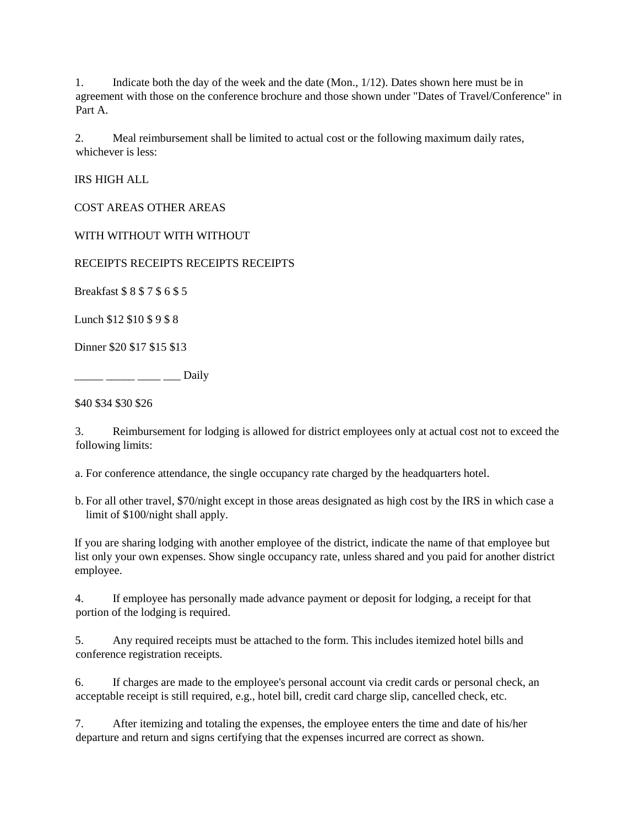1. Indicate both the day of the week and the date (Mon., 1/12). Dates shown here must be in agreement with those on the conference brochure and those shown under "Dates of Travel/Conference" in Part A.

2. Meal reimbursement shall be limited to actual cost or the following maximum daily rates, whichever is less:

IRS HIGH ALL

COST AREAS OTHER AREAS

WITH WITHOUT WITH WITHOUT

RECEIPTS RECEIPTS RECEIPTS RECEIPTS

Breakfast \$ 8 \$ 7 \$ 6 \$ 5

Lunch \$12 \$10 \$ 9 \$ 8

Dinner \$20 \$17 \$15 \$13

\_\_\_\_\_ \_\_\_\_\_ \_\_\_\_ \_\_\_ Daily

\$40 \$34 \$30 \$26

3. Reimbursement for lodging is allowed for district employees only at actual cost not to exceed the following limits:

a. For conference attendance, the single occupancy rate charged by the headquarters hotel.

b. For all other travel, \$70/night except in those areas designated as high cost by the IRS in which case a limit of \$100/night shall apply.

If you are sharing lodging with another employee of the district, indicate the name of that employee but list only your own expenses. Show single occupancy rate, unless shared and you paid for another district employee.

4. If employee has personally made advance payment or deposit for lodging, a receipt for that portion of the lodging is required.

5. Any required receipts must be attached to the form. This includes itemized hotel bills and conference registration receipts.

6. If charges are made to the employee's personal account via credit cards or personal check, an acceptable receipt is still required, e.g., hotel bill, credit card charge slip, cancelled check, etc.

7. After itemizing and totaling the expenses, the employee enters the time and date of his/her departure and return and signs certifying that the expenses incurred are correct as shown.